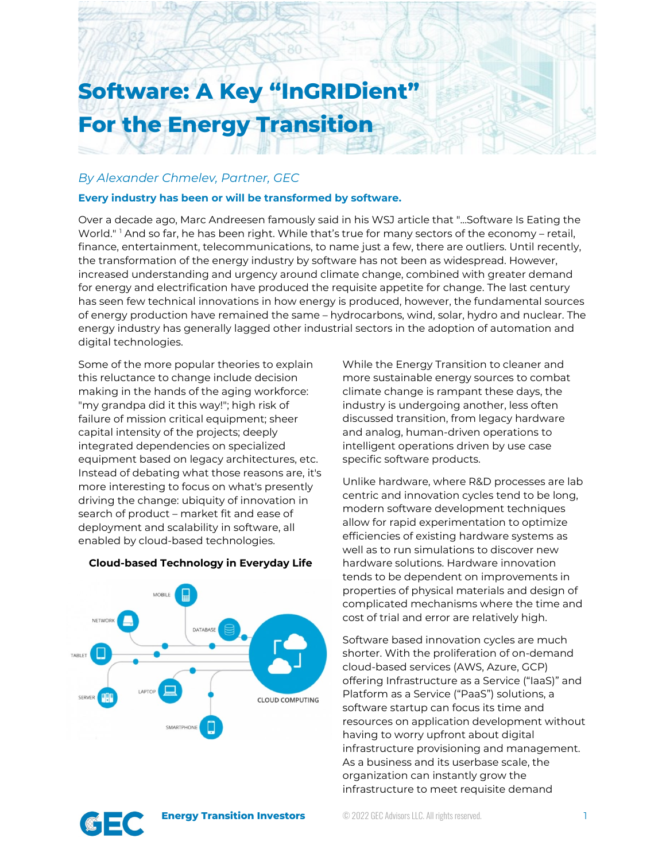# **Software: A Key "InGRIDient" For the Energy Transition**

## *By Alexander Chmelev, Partner, GEC*

## **Every industry has been or will be transformed by software.**

Over a decade ago, Marc Andreesen famously said in his WSJ article that "...Software Is Eating the World." <sup>[1](#page-4-0)</sup> And so far, he has been right. While that's true for many sectors of the economy - retail, finance, entertainment, telecommunications, to name just a few, there are outliers. Until recently, the transformation of the energy industry by software has not been as widespread. However, increased understanding and urgency around climate change, combined with greater demand for energy and electrification have produced the requisite appetite for change. The last century has seen few technical innovations in how energy is produced, however, the fundamental sources of energy production have remained the same – hydrocarbons, wind, solar, hydro and nuclear. The energy industry has generally lagged other industrial sectors in the adoption of automation and digital technologies.

Some of the more popular theories to explain this reluctance to change include decision making in the hands of the aging workforce: "my grandpa did it this way!"; high risk of failure of mission critical equipment; sheer capital intensity of the projects; deeply integrated dependencies on specialized equipment based on legacy architectures, etc. Instead of debating what those reasons are, it's more interesting to focus on what's presently driving the change: ubiquity of innovation in search of product – market fit and ease of deployment and scalability in software, all enabled by cloud-based technologies.

#### **Cloud-based Technology in Everyday Life**



While the Energy Transition to cleaner and more sustainable energy sources to combat climate change is rampant these days, the industry is undergoing another, less often discussed transition, from legacy hardware and analog, human-driven operations to intelligent operations driven by use case specific software products.

Unlike hardware, where R&D processes are lab centric and innovation cycles tend to be long, modern software development techniques allow for rapid experimentation to optimize efficiencies of existing hardware systems as well as to run simulations to discover new hardware solutions. Hardware innovation tends to be dependent on improvements in properties of physical materials and design of complicated mechanisms where the time and cost of trial and error are relatively high.

Software based innovation cycles are much shorter. With the proliferation of on-demand cloud-based services (AWS, Azure, GCP) offering Infrastructure as a Service ("IaaS)" and Platform as a Service ("PaaS") solutions, a software startup can focus its time and resources on application development without having to worry upfront about digital infrastructure provisioning and management. As a business and its userbase scale, the organization can instantly grow the infrastructure to meet requisite demand

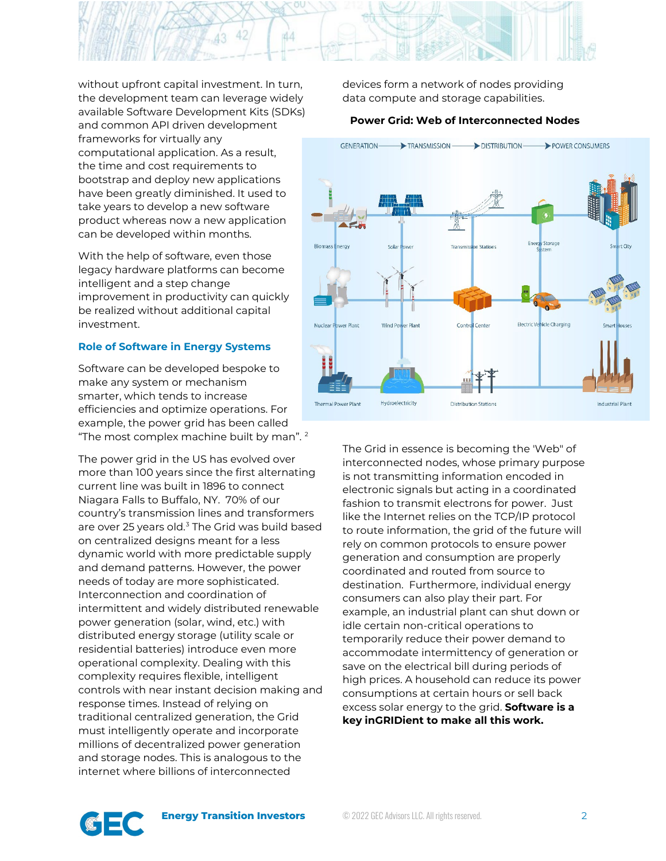

without upfront capital investment. In turn, the development team can leverage widely available Software Development Kits (SDKs) and common API driven development frameworks for virtually any computational application. As a result, the time and cost requirements to bootstrap and deploy new applications have been greatly diminished. It used to take years to develop a new software product whereas now a new application can be developed within months.

With the help of software, even those legacy hardware platforms can become intelligent and a step change improvement in productivity can quickly be realized without additional capital investment.

#### **Role of Software in Energy Systems**

Software can be developed bespoke to make any system or mechanism smarter, which tends to increase efficiencies and optimize operations. For example, the power grid has been called "The most complex machine built by man".<sup>[2](#page-4-1)</sup>

The power grid in the US has evolved over more than 100 years since the first alternating current line was built in 1896 to connect Niagara Falls to Buffalo, NY. 70% of our country's transmission lines and transformers are over 25 years old. $3$  The Grid was build based on centralized designs meant for a less dynamic world with more predictable supply and demand patterns. However, the power needs of today are more sophisticated. Interconnection and coordination of intermittent and widely distributed renewable power generation (solar, wind, etc.) with distributed energy storage (utility scale or residential batteries) introduce even more operational complexity. Dealing with this complexity requires flexible, intelligent controls with near instant decision making and response times. Instead of relying on traditional centralized generation, the Grid must intelligently operate and incorporate millions of decentralized power generation and storage nodes. This is analogous to the internet where billions of interconnected

devices form a network of nodes providing data compute and storage capabilities.

## **Power Grid: Web of Interconnected Nodes**



The Grid in essence is becoming the 'Web" of interconnected nodes, whose primary purpose is not transmitting information encoded in electronic signals but acting in a coordinated fashion to transmit electrons for power. Just like the Internet relies on the TCP/IP protocol to route information, the grid of the future will rely on common protocols to ensure power generation and consumption are properly coordinated and routed from source to destination. Furthermore, individual energy consumers can also play their part. For example, an industrial plant can shut down or idle certain non-critical operations to temporarily reduce their power demand to accommodate intermittency of generation or save on the electrical bill during periods of high prices. A household can reduce its power consumptions at certain hours or sell back excess solar energy to the grid. **Software is a key inGRIDient to make all this work.**

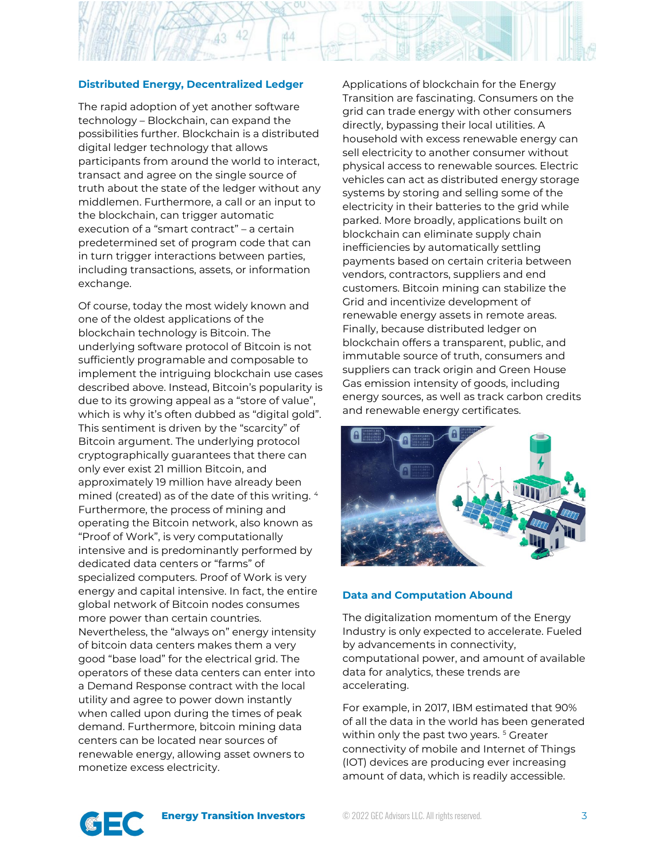## **Distributed Energy, Decentralized Ledger**

**44** 

The rapid adoption of yet another software technology – Blockchain, can expand the possibilities further. Blockchain is a distributed digital ledger technology that allows participants from around the world to interact, transact and agree on the single source of truth about the state of the ledger without any middlemen. Furthermore, a call or an input to the blockchain, can trigger automatic execution of a "smart contract" – a certain predetermined set of program code that can in turn trigger interactions between parties, including transactions, assets, or information exchange.

Of course, today the most widely known and one of the oldest applications of the blockchain technology is Bitcoin. The underlying software protocol of Bitcoin is not sufficiently programable and composable to implement the intriguing blockchain use cases described above. Instead, Bitcoin's popularity is due to its growing appeal as a "store of value", which is why it's often dubbed as "digital gold". This sentiment is driven by the "scarcity" of Bitcoin argument. The underlying protocol cryptographically guarantees that there can only ever exist 21 million Bitcoin, and approximately 19 million have already been mined (created) as of the date of this writing. [4](#page-4-3) Furthermore, the process of mining and operating the Bitcoin network, also known as "Proof of Work", is very computationally intensive and is predominantly performed by dedicated data centers or "farms" of specialized computers. Proof of Work is very energy and capital intensive. In fact, the entire global network of Bitcoin nodes consumes more power than certain countries. Nevertheless, the "always on" energy intensity of bitcoin data centers makes them a very good "base load" for the electrical grid. The operators of these data centers can enter into a Demand Response contract with the local utility and agree to power down instantly when called upon during the times of peak demand. Furthermore, bitcoin mining data centers can be located near sources of renewable energy, allowing asset owners to monetize excess electricity.

Applications of blockchain for the Energy Transition are fascinating. Consumers on the grid can trade energy with other consumers directly, bypassing their local utilities. A household with excess renewable energy can sell electricity to another consumer without physical access to renewable sources. Electric vehicles can act as distributed energy storage systems by storing and selling some of the electricity in their batteries to the grid while parked. More broadly, applications built on blockchain can eliminate supply chain inefficiencies by automatically settling payments based on certain criteria between vendors, contractors, suppliers and end customers. Bitcoin mining can stabilize the Grid and incentivize development of renewable energy assets in remote areas. Finally, because distributed ledger on blockchain offers a transparent, public, and immutable source of truth, consumers and suppliers can track origin and Green House Gas emission intensity of goods, including energy sources, as well as track carbon credits and renewable energy certificates.



#### **Data and Computation Abound**

The digitalization momentum of the Energy Industry is only expected to accelerate. Fueled by advancements in connectivity, computational power, and amount of available data for analytics, these trends are accelerating.

For example, in 2017, IBM estimated that 90% of all the data in the world has been generated within only the past two years.<sup>5</sup> Greater connectivity of mobile and Internet of Things (IOT) devices are producing ever increasing amount of data, which is readily accessible.

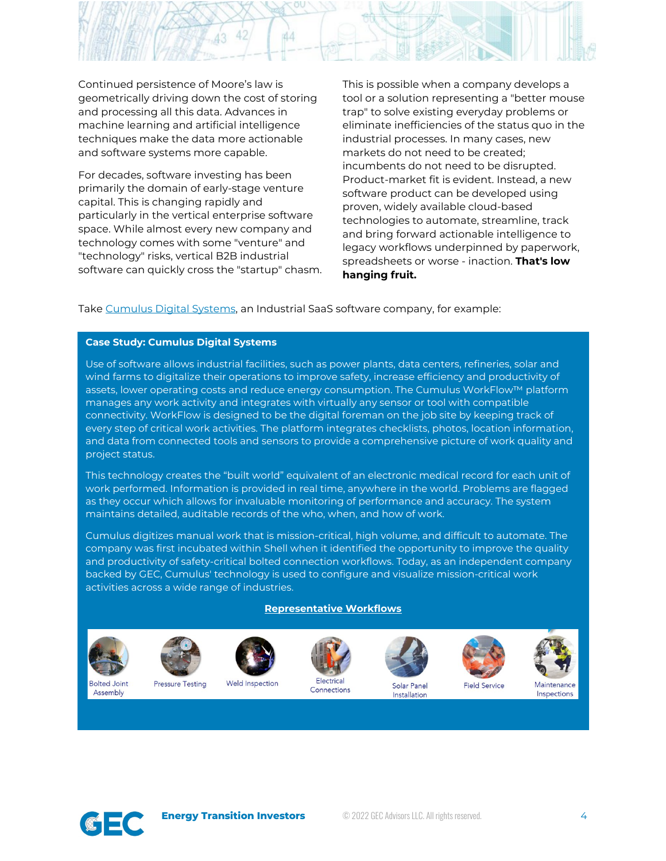

Continued persistence of Moore's law is geometrically driving down the cost of storing and processing all this data. Advances in machine learning and artificial intelligence techniques make the data more actionable and software systems more capable.

For decades, software investing has been primarily the domain of early-stage venture capital. This is changing rapidly and particularly in the vertical enterprise software space. While almost every new company and technology comes with some "venture" and "technology" risks, vertical B2B industrial software can quickly cross the "startup" chasm. This is possible when a company develops a tool or a solution representing a "better mouse trap" to solve existing everyday problems or eliminate inefficiencies of the status quo in the industrial processes. In many cases, new markets do not need to be created; incumbents do not need to be disrupted. Product-market fit is evident. Instead, a new software product can be developed using proven, widely available cloud-based technologies to automate, streamline, track and bring forward actionable intelligence to legacy workflows underpinned by paperwork, spreadsheets or worse - inaction. **That's low hanging fruit.**

Take [Cumulus Digital Systems,](https://cumulusds.com/) an Industrial SaaS software company, for example:

## **Case Study: Cumulus Digital Systems**

Use of software allows industrial facilities, such as power plants, data centers, refineries, solar and wind farms to digitalize their operations to improve safety, increase efficiency and productivity of assets, lower operating costs and reduce energy consumption. The Cumulus WorkFlow™ platform manages any work activity and integrates with virtually any sensor or tool with compatible connectivity. WorkFlow is designed to be the digital foreman on the job site by keeping track of every step of critical work activities. The platform integrates checklists, photos, location information, and data from connected tools and sensors to provide a comprehensive picture of work quality and project status.

This technology creates the "built world" equivalent of an electronic medical record for each unit of work performed. Information is provided in real time, anywhere in the world. Problems are flagged as they occur which allows for invaluable monitoring of performance and accuracy. The system maintains detailed, auditable records of the who, when, and how of work.

Cumulus digitizes manual work that is mission-critical, high volume, and difficult to automate. The company was first incubated within Shell when it identified the opportunity to improve the quality and productivity of safety-critical bolted connection workflows. Today, as an independent company backed by GEC, Cumulus' technology is used to configure and visualize mission-critical work activities across a wide range of industries.

#### **Representative Workflows**











Solar Panel Installation





Inspections

**Bolted Joint** Assembly

**Pressure Testing**